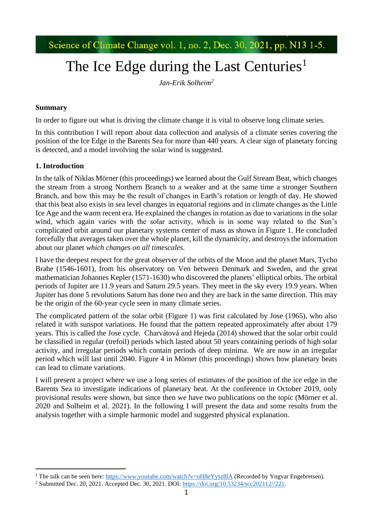Science of Climate Change vol. 1, no. 2, Dec. 30, 2021, pp. N13 1-5.

# The Ice Edge during the Last Centuries<sup>1</sup>

*Jan-Erik Solheim<sup>2</sup>*

## **Summary**

In order to figure out what is driving the climate change it is vital to observe long climate series.

In this contribution I will report about data collection and analysis of a climate series covering the position of the Ice Edge in the Barents Sea for more than 440 years. A clear sign of planetary forcing is detected, and a model involving the solar wind is suggested.

# **1. Introduction**

In the talk of Niklas Mörner (this proceedings) we learned about the Gulf Stream Beat, which changes the stream from a strong Northern Branch to a weaker and at the same time a stronger Southern Branch, and how this may be the result of changes in Earth's rotation or length of day. He showed that this beat also exists in sea level changes in equatorial regions and in climate changes as the Little Ice Age and the warm recent era. He explained the changes in rotation as due to variations in the solar wind, which again varies with the solar activity, which is in some way related to the Sun's complicated orbit around our planetary systems center of mass as shown in Figure 1. He concluded forcefully that averages taken over the whole planet, kill the dynamicity, and destroys the information about our planet *which changes on all timescales*.

I have the deepest respect for the great observer of the orbits of the Moon and the planet Mars, Tycho Brahe (1546-1601), from his observatory on Ven between Denmark and Sweden, and the great mathematician Johannes Kepler (1571-1630) who discovered the planets' elliptical orbits. The orbital periods of Jupiter are 11.9 years and Saturn 29.5 years. They meet in the sky every 19.9 years. When Jupiter has done 5 revolutions Saturn has done two and they are back in the same direction. This may be the origin of the 60-year cycle seen in many climate series.

The complicated pattern of the solar orbit (Figure 1) was first calculated by Jose (1965), who also related it with sunspot variations. He found that the pattern repeated approximately after about 179 years. This is called the Jose cycle. Charvátová and Hejeda (2014) showed that the solar orbit could be classified in regular (trefoil) periods which lasted about 50 years containing periods of high solar activity, and irregular periods which contain periods of deep minima. We are now in an irregular period which will last until 2040. Figure 4 in Mörner (this proceedings) shows how planetary beats can lead to climate variations.

I will present a project where we use a long series of estimates of the position of the ice edge in the Barents Sea to investigate indications of planetary beat. At the conference in October 2019, only provisional results were shown, but since then we have two publications on the topic (Mörner et al. 2020 and Solheim et al. 2021). In the following I will present the data and some results from the analysis together with a simple harmonic model and suggested physical explanation.

<sup>&</sup>lt;sup>1</sup> The talk can be seen here:<https://www.youtube.com/watch?v=oH8eYysz8lA> (Recorded by Yngvar Engebretsen).

<sup>2</sup> Submitted Dec. 20, 2021. Accepted Dec. 30, 2021. DOI: [https://doi.org/10.53234/scc202112//221.](https://doi.org/10.53234/scc202112/221)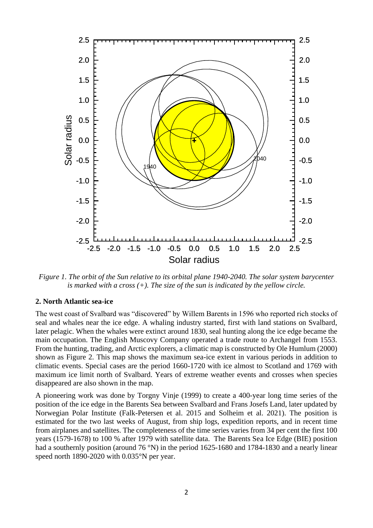

*Figure 1. The orbit of the Sun relative to its orbital plane 1940-2040. The solar system barycenter is marked with a cross (+). The size of the sun is indicated by the yellow circle.*

#### **2. North Atlantic sea-ice**

The west coast of Svalbard was "discovered" by Willem Barents in 1596 who reported rich stocks of seal and whales near the ice edge. A whaling industry started, first with land stations on Svalbard, later pelagic. When the whales were extinct around 1830, seal hunting along the ice edge became the main occupation. The English Muscovy Company operated a trade route to Archangel from 1553. From the hunting, trading, and Arctic explorers, a climatic map is constructed by Ole Humlum (2000) shown as Figure 2. This map shows the maximum sea-ice extent in various periods in addition to climatic events. Special cases are the period 1660-1720 with ice almost to Scotland and 1769 with maximum ice limit north of Svalbard. Years of extreme weather events and crosses when species disappeared are also shown in the map.

A pioneering work was done by Torgny Vinje (1999) to create a 400-year long time series of the position of the ice edge in the Barents Sea between Svalbard and Frans Josefs Land, later updated by Norwegian Polar Institute (Falk-Petersen et al. 2015 and Solheim et al. 2021). The position is estimated for the two last weeks of August, from ship logs, expedition reports, and in recent time from airplanes and satellites. The completeness of the time series varies from 34 per cent the first 100 years (1579-1678) to 100 % after 1979 with satellite data. The Barents Sea Ice Edge (BIE) position had a southernly position (around 76 °N) in the period 1625-1680 and 1784-1830 and a nearly linear speed north 1890-2020 with 0.035°N per year.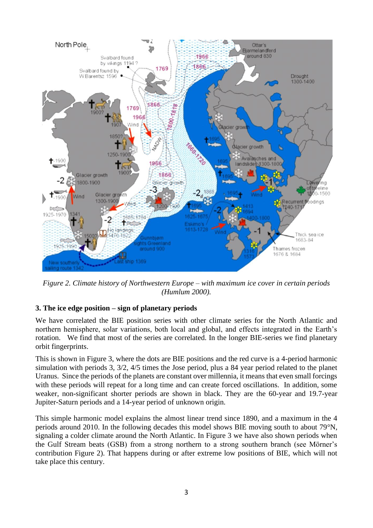

*Figure 2. Climate history of Northwestern Europe – with maximum ice cover in certain periods (Humlum 2000).*

# **3. The ice edge position – sign of planetary periods**

We have correlated the BIE position series with other climate series for the North Atlantic and northern hemisphere, solar variations, both local and global, and effects integrated in the Earth's rotation. We find that most of the series are correlated. In the longer BIE-series we find planetary orbit fingerprints.

This is shown in Figure 3, where the dots are BIE positions and the red curve is a 4-period harmonic simulation with periods 3, 3/2, 4/5 times the Jose period, plus a 84 year period related to the planet Uranus. Since the periods of the planets are constant over millennia, it means that even small forcings with these periods will repeat for a long time and can create forced oscillations. In addition, some weaker, non-significant shorter periods are shown in black. They are the 60-year and 19.7-year Jupiter-Saturn periods and a 14-year period of unknown origin.

This simple harmonic model explains the almost linear trend since 1890, and a maximum in the 4 periods around 2010. In the following decades this model shows BIE moving south to about 79°N, signaling a colder climate around the North Atlantic. In Figure 3 we have also shown periods when the Gulf Stream beats (GSB) from a strong northern to a strong southern branch (see Mörner's contribution Figure 2). That happens during or after extreme low positions of BIE, which will not take place this century.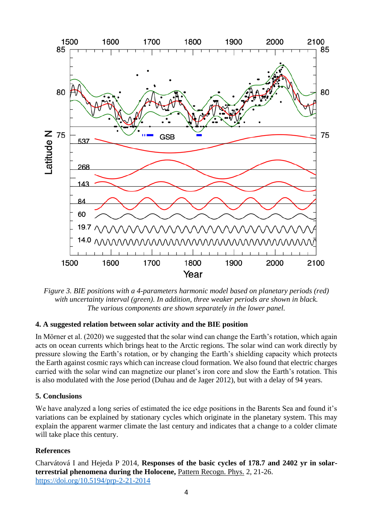

*Figure 3. BIE positions with a 4-parameters harmonic model based on planetary periods (red) with uncertainty interval (green). In addition, three weaker periods are shown in black. The various components are shown separately in the lower panel.*

### **4. A suggested relation between solar activity and the BIE position**

In Mörner et al. (2020) we suggested that the solar wind can change the Earth's rotation, which again acts on ocean currents which brings heat to the Arctic regions. The solar wind can work directly by pressure slowing the Earth's rotation, or by changing the Earth's shielding capacity which protects the Earth against cosmic rays which can increase cloud formation. We also found that electric charges carried with the solar wind can magnetize our planet's iron core and slow the Earth's rotation. This is also modulated with the Jose period (Duhau and de Jager 2012), but with a delay of 94 years.

# **5. Conclusions**

We have analyzed a long series of estimated the ice edge positions in the Barents Sea and found it's variations can be explained by stationary cycles which originate in the planetary system. This may explain the apparent warmer climate the last century and indicates that a change to a colder climate will take place this century.

# **References**

Charvátová I and Hejeda P 2014, **Responses of the basic cycles of 178.7 and 2402 yr in solarterrestrial phenomena during the Holocene,** Pattern Recogn. Phys. 2, 21-26. <https://doi.org/10.5194/prp-2-21-2014>